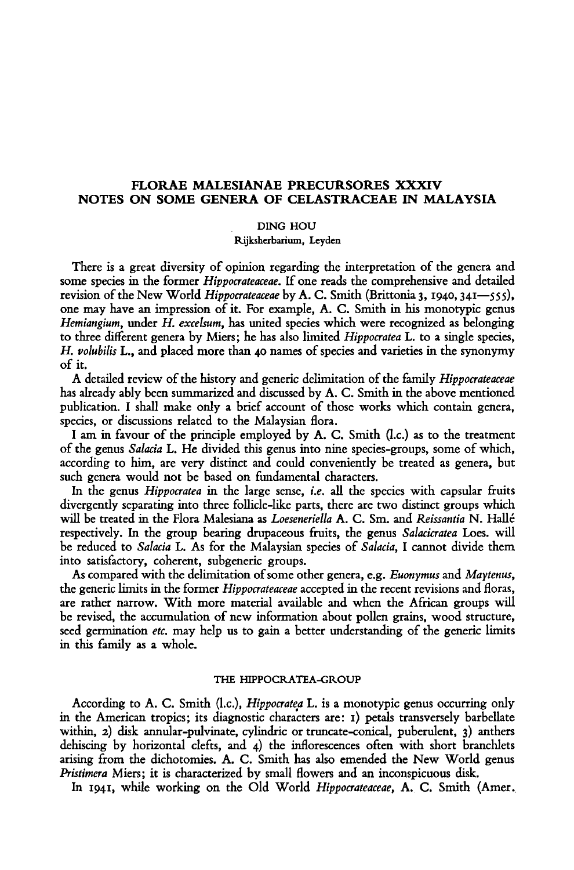## FLORAE MALESIANAE PRECURSORES XXXIV Notes on some genera of Celastraceae in Malaysia

Ding Hou

Rijksherbarium, Leyden

There is <sup>a</sup> great diversity of opinion regarding the interpretation of the genera and some species in the former Hippocrateaceae. If one reads the comprehensive and detailed revision of the New World Hippocrateaceae by A. C. Smith (Brittonia 3, 1940, 341—555), one may have an impression of it. For example, A. C. Smith in his monotypic genus Hemiangium, under H. excelsum, has united species which were recognized as belonging to three different genera by Miers; he has also limited Hippocratea L. to a single species, H. volubilis L., and placed more than <sup>40</sup> names of species and varieties in the synonymy of it.

A detailed review of the history and generic delimitation of the family *Hippocrateaceae* has already ably been summarized and discussed by A. C. Smith in the above mentioned publication. I shall make only <sup>a</sup> brief account of those works which contain genera, species, or discussions related to the Malaysian flora.

I am in favour of the principle employed by A. C. Smith (I.e.) as to the treatment of the genus Salacia L. He divided this genus into nine species-groups, some of which, according to him, are very distinct and could conveniently be treated as genera, but such genera would not be based on fundamental characters.

In the genus *Hippocratea* in the large sense, *i.e.* all the species with capsular fruits divergently separating into three follicle-like parts, there are two distinct groups which will be treated in the Flora Malesiana as Loeseneriella A. C. Sm. and Reissantia N. Hallé respectively. In the group bearing drupaceous fruits, the genus Salacicratea Loes. will be reduced to Salacia L. As for the Malaysian species of Salacia, I cannot divide them into satisfactory, coherent, subgeneric groups.

As compared with the delimitation of some other genera, e.g. Euonymus and Maytenus, the generic limits in the former Hippocrateaceae accepted in the recent revisions and floras, are rather narrow. With more material available and when the African groups will be revised, the accumulation of new information about pollen grains, wood structure, seed germination *etc*, may help us to gain a better understanding of the generic limits in this family as <sup>a</sup> whole.

#### THE HIPPOCRATEA-GROUP

According to A. C. Smith (I.e.), Hippocratea L. is <sup>a</sup> monotypic genus occurring only in the American tropics; its diagnostic characters are: 1) petals transversely barbellate within, 2) disk annular-pulvinate, cylindric or truncate-conical, puberulent, 3) anthers dehiscing by horizontal clefts, and 4) the inflorescences often with short branchlets arising from the dichotomies. A. C. Smith has also emended the New World genus Pristimera Miers; it is characterized by small flowers and an inconspicuous disk.

In 1941, while working on the Old World Hippocrateaceae, A. C. Smith (Amer.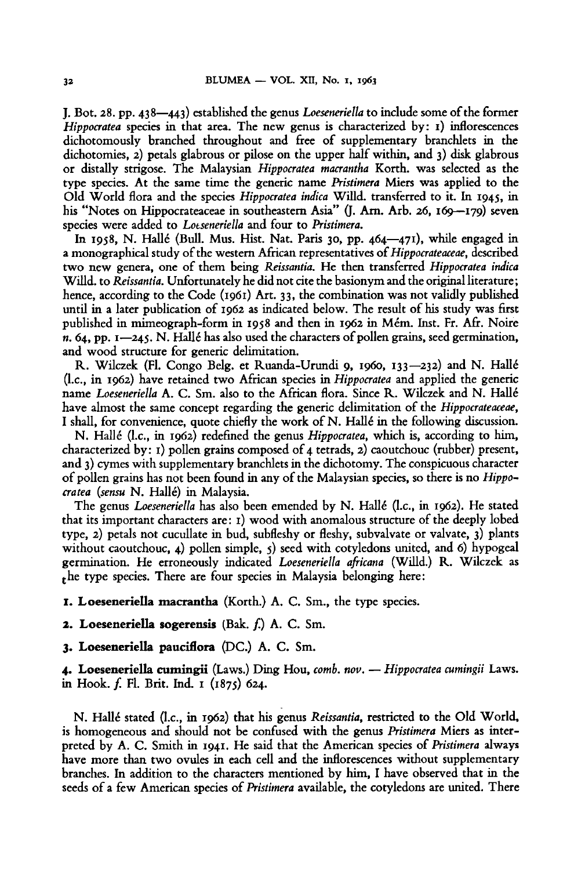J. Bot. 28. pp. 438—443) established the genus Loeseneriella to include some of the former Hippocratea species in that area. The new genus is characterized by: 1) inflorescences dichotomously branched throughout and free of supplementary branchlets in the dichotomies, 2) petals glabrous or pilose on the upper halfwithin, and 3) disk glabrous or distally strigose. The Malaysian Hippocratea macrantha Korth. was selected as the type species. At the same time the generic name Pristimera Miers was applied to the Old World flora and the species Hippocratea indica Willd. transferred to it. In 1945, in his "Notes on Hippocrateaceae in southeastern Asia" (J. Arn. Arb. 26, 169—179) seven species were added to Loeseneriella and four to Pristimera.

In 1958, N. Hallé (Bull. Mus. Hist. Nat. Paris 30, pp.  $464 - 471$ ), while engaged in a monographical study of the western African representatives of *Hippocrateaceae*, described two new genera, one of them being Reissantia. He then transferred Hippocratea indica Willd. to Reissantia. Unfortunately he didnot cite the basionym andthe original literature; hence, according to the Code (1961) Art. 33, the combination was not validly published until in <sup>a</sup> later publication of <sup>1962</sup> as indicated below. The result of his study was first published in mimeograph-form in <sup>1938</sup> and then in <sup>1962</sup> in Mem. Inst. Fr. Afr. Noire n. 64, pp.  $1$ —245. N. Hallé has also used the characters of pollen grains, seed germination, and wood structure for generic delimitation.

R. Wilczek (Fl. Congo Belg. et Ruanda-Urundi 9, i960, 133—232) and N. Halle (1.e., in 1962) have retained two African species in Hippocratea and applied the generic name Loeseneriella A. C. Sm. also to the African flora. Since R. Wilczek and N. Hallé have almost the same concept regarding the generic delimitation of the *Hippocrateaceae*, I shall, for convenience, quote chiefly the work of N. Hallé in the following discussion.

N. Hallé (l.c., in 1962) redefined the genus *Hippocratea*, which is, according to him, characterized by: 1) pollen grains composed of <sup>4</sup> tetrads, 2) caoutchouc (rubber) present, and 3) cymes with supplementary branchlets in the dichotomy. The conspicuous character of pollen grains has not been found in any of the Malaysian species, so there is no *Hippo*cratea (sensu N. Hallé) in Malaysia.

The genus Loeseneriella has also been emended by N. Hallé (l.c., in 1962). He stated that its important characters are:  $i$ ) wood with anomalous structure of the deeply lobed type, 2) petals not cucullate in bud, subfleshy or fleshy, subvalvate or valvate, 3) plants without caoutchouc, 4) pollen simple,  $\varsigma$ ) seed with cotyledons united, and 6) hypogeal germination. He erroneously indicated Loeseneriella africana (Willd.) R. Wilczek as the type species. There are four species in Malaysia belonging here:

1. Loeseneriella macrantha (Korth.) A. C. Sm., the type species.

2. Loeseneriella sogerensis (Bak. f.) A. C. Sm.

3. Loeseneriella pauciflora (DC.) A. C. Sm.

4. Loeseneriella cumingii (Laws.) Ding Hou, comb. nov. — Hippocratea cumingii Laws. in Hook. f. Fl. Brit. Ind. <sup>1</sup> (1875) 624.

N. Halle stated (I.e., in 1962) that his genus Reissantia, restricted to the Old World, is homogeneous and should not be confused with the genus Pristimera Miers as interpreted by A. C. Smith in 1941. He said that the American species of Pristimera always have more than two ovules in each cell and the inflorescences without supplementary branches. In addition to the characters mentioned by him, I have observed that in the seeds of <sup>a</sup> few American species of Pristimera available, the cotyledons are united. There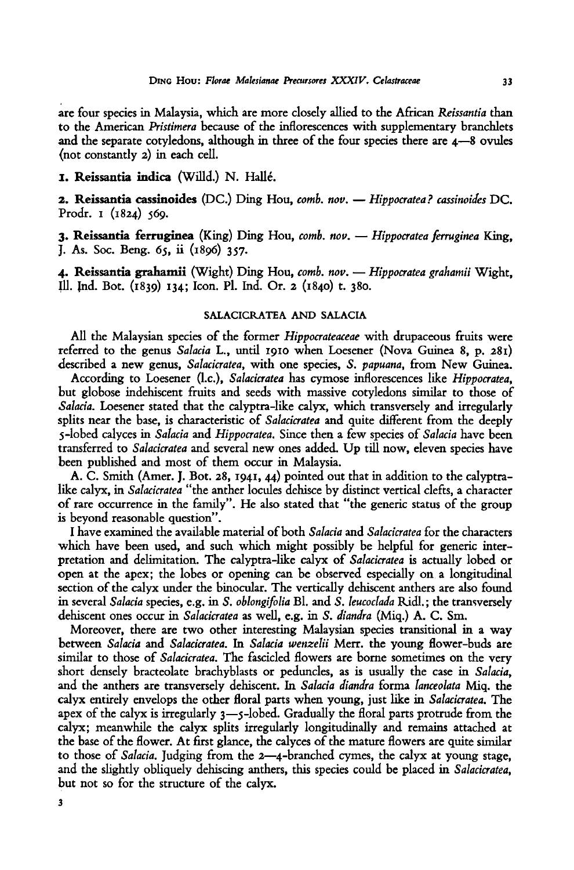are four species in Malaysia, which are more closely allied to the African Reissantia than to the American Pristimera because of the inflorescences with supplementary branchlets and the separate cotyledons, although in three of the four species there are 4–8 ovules (not constantly 2) in each cell.

## 1. Reissantia indica (Willd.) N. Halle.

2. Reissantia cassinoides (DC.) Ding Hou, comb. nov. - Hippocratea? cassinoides DC. Prodr. 1 (1824) 569.

3. Reissantia ferruginea (King) Ding Hou, comb. nov. — Hippocratea ferruginea King, J. As. Soc. Beng. 65, ii (1896) 357.

4. Reissantia grahamii (Wight) Ding Hou, comb. nov. — Hippocratea grahamii Wight, 111. Ind. Bot. (1839) 134; Icon. Pi. Ind. Or. <sup>2</sup> (1840) t. 380.

### SALACICRATEA AND SALACIA

All the Malaysian species of the former *Hippocrateaceae* with drupaceous fruits were referred to the genus Salacia L., until <sup>1910</sup> when Loesener (Nova Guinea 8, p. 281) described <sup>a</sup> new genus, Salacicratea, with one species, S. papuana, from New Guinea.

According to Loesener (l.c.), Salacicratea has cymose inflorescences like Hippocratea, but globose indehiscent fruits and seeds with massive cotyledons similar to those of Salacia. Loesener stated that the calyptra-like calyx, which transversely and irregularly splits near the base, is characteristic of *Salacicratea* and quite different from the deeply 5-lobed calyces in Salacia and Hippocratea. Since then <sup>a</sup> few species of Salacia have been transferred to Salacicratea and several new ones added. Up till now, eleven species have been published and most of them occur in Malaysia.

A. C. Smith (Amer. J. Bot. 28, 1941, 44) pointed out that in addition to the calyptralike calyx, in *Salacicratea* "the anther locules dehisce by distinct vertical clefts, a character of rare occurrence in the family". He also stated that "the generic status of the group is beyond reasonable question".

I have examined the available material of both Salacia and Salacicratea for the characters which have been used, and such which might possibly be helpful for generic interpretation and delimitation. The calyptra-like calyx of Salacicratea is actually lobed or open at the apex; the lobes or opening can be observed especially on <sup>a</sup> longitudinal section of the calyx under the binocular. The vertically dehiscent anthers are also found in several Salacia species, e.g. in S. oblongifolia Bl. and S. leucoclada Ridl.; the transversely dehiscent ones occur in Salacicratea as well, e.g. in S. diandra (Miq.) A. C. Sm.

Moreover, there are two other interesting Malaysian species transitional in <sup>a</sup> way between Salacia and Salacicratea. In Salacia wenzelii Merr. the young flower-buds are similar to those of *Salacicratea*. The fascicled flowers are borne sometimes on the very short densely bracteolate brachyblasts or peduncles, as is usually the case in Salacia, and the anthers are transversely dehiscent. In Salacia diandra forma lanceolata Miq. the calyx entirely envelops the other floral parts when young, just like in Salacicratea. The apex of the calyx is irregularly 3—5-lobed. Gradually the floral parts protrude from the calyx; meanwhile the calyx splits irregularly longitudinally and remains attached at the base of the flower. At first glance, the calyces of the mature flowers are quite similar to those of Salacia. Judging from the 2—4-branched cymes, the calyx at young stage, and the slightly obliquely dehiscing anthers, this species could be placed in Salacicratea, but not so for the structure of the calyx.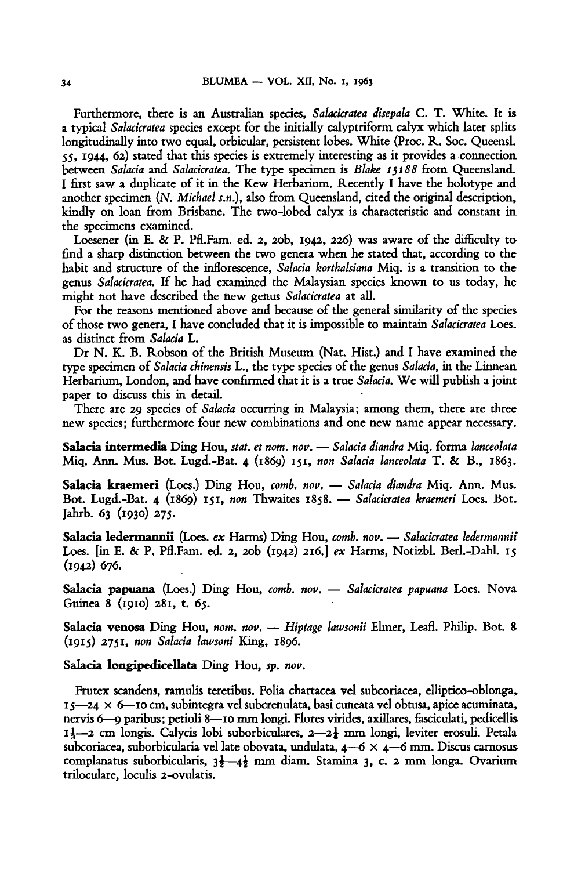Furthermore, there is an Australian species, Salacicratea disepala C. T. White. It is <sup>a</sup> typical Salacicratea species except for the initially calyptriform calyx which later splits longitudinally into two equal, orbicular, persistent lobes. White (Proc. R. Soc. Queensl. 55, 1944, 62) stated that this species is extremely interesting as it provides <sup>a</sup> connection between Salacia and Salacicratea. The type specimen is Blake 15188 from Queensland. <sup>I</sup> first saw <sup>a</sup> duplicate of it in the Kew Herbarium. Recently I have the holotype and another specimen  $(N.$  Michael s.n.), also from Queensland, cited the original description, kindly on loan from Brisbane. The two-lobed calyx is characteristic and constant in the specimens examined.

Loesener (in E. & P. Pfl.Fam. ed. 2, 20b, 1942, 226) was aware of the difficulty to find <sup>a</sup> sharp distinction between the two genera when he stated that, according to the habit and structure of the inflorescence, Salacia korthalsiana Miq. is <sup>a</sup> transition to the genus Salacicratea. If he had examined the Malaysian species known to us today, he might not have described the new genus Salacicratea at all.

For the reasons mentioned above and because of the general similarity of the species of those two genera, I have concluded that it is impossible to maintain Salacicratea Loes. as distinct from Salacia L.

Dr N. K. B. Robson of the British Museum (Nat. Hist.) and I have examined the type specimen of Salacia chinensis L., the type species of the genus Salacia, in the Linnean Herbarium, London, and have confirmed that it is a true Salacia. We will publish a joint paper to discuss this in detail.

There are 29 species of Salacia occurring in Malaysia; among them, there are three new species; furthermore four new combinations and one new name appear necessary.

Sa<mark>lacia intermedia</mark> Ding Hou, stat. et nom. nov. — Salacia diandra Miq. forma lanceolata Miq. Ann. Mus. Bot. Lugd.-Bat. 4 (1869) 151, non Salacia lanceolata T. & B., 1863.

Salacia kraemeri (Loes.) Ding Hou, comb. nov. - Salacia diandra Miq. Ann. Mus. Bot. Lugd.-Bat. <sup>4</sup> (1869) 151, non Thwaites 1858. — Salacicratea kraemeri Loes. Bot. Jahrb. 63 (1930) 275.

Salacia ledermannii (Loes. ex Harms) Ding Hou, comb. nov. — Salacicratea ledermannii Loes. [in E. & P. Pfl.Fam. ed. 2, 20b (1942) 216.] ex Harms, Notizbl. Berl.-Dahl. <sup>15</sup> (1942) 676.

Salacia papuana (Loes.) Ding Hou, comb. nov. - Salacicratea papuana Loes. Nova Guinea <sup>8</sup> (1910) 281, t. 65.

Salacia venosa Ding Hou, nom. nov. - Hiptage lawsonii Elmer, Leafl. Philip. Bot. 8 (1915) 2751, non Salacia lawsoni King, 1896.

#### Salacia longipedicellata Ding Hou, sp. nov.

Frutex scandens, ramulis teretibus. Folia chartacea vel subcoriacea, elliptico-oblonga,  $15 - 24 \times 6$ —10 cm, subintegra vel subcrenulata, basi cuneata vel obtusa, apice acuminata, nervis 6—9 paribus; petioli 8—10 mm longi. Flores virides, axillares, fasciculati, pedicellis 11-2 cm longis. Calycis lobi suborbiculares, 2-21 mm longi, leviter erosuli. Petala subcoriacea, suborbicularia vel late obovata, undulata, 4—6 X <sup>4</sup> —6 mm. Discus carnosus complanatus suborbicularis,  $3\frac{1}{2}-4\frac{1}{2}$  mm diam. Stamina 3, c. 2 mm longa. Ovarium triloculare, loculis 2-ovulatis.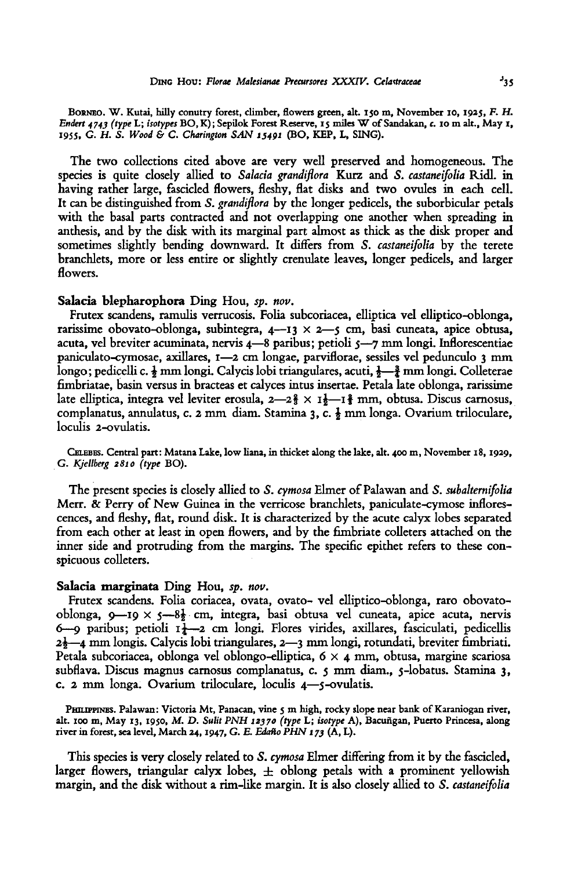BORNEO. W. Kutai, hilly conutry forest, climber, flowers green, alt. <sup>150</sup> m, November 10, 1925, F.H. Endert 4743 (type L; isotypes BO, K); Sepilok Forest Reserve, 15 miles W of Sandakan, c. 10 m alt., May 1, 1955, G. H. S. Wood & C. Charington SAN 15491 (BO, KEP, L, SING).

The two collections cited above are very well preserved and homogeneous. The species is quite closely allied to Salacia grandiflora Kurz and S. castaneifolia Ridl. in having rather large, fascicled flowers, fleshy, flat disks and two ovules in each cell. It can be distinguished from S. grandiflora by the longer pedicels, the suborbicular petals with the basal parts contracted and not overlapping one another when spreading in anthesis, and by the disk with its marginal part almost as thick as the disk proper and sometimes slightly bending downward. It differs from S. castaneifolia by the terete branchlets, more or less entire or slightly crenulate leaves, longer pedicels, and larger flowers.

## Salacia blepharophora Ding Hou, sp. nov.

Frutex scandens, ramulis verrucosis. Folia subcoriacea, elliptica vel elliptico-oblonga, rarissime obovato-oblonga, subintegra, 4 — <sup>13</sup> x 2—5 cm, basi cuneata, apice obtusa, acuta, vel breviter acuminata, nervis 4—8 paribus; petioli 5—7 mm longi. Inflorescentiae paniculato-cymosae, axillares, 1—2 cm longae, parviflorae, sessiles vel pedunculo <sup>3</sup> mm longo; pedicelli c.  $\frac{1}{2}$ mm longi. Calycis lobi triangulares, acuti,  $\frac{1}{2}$ mm longi. Colleterae fimbriatae, basin versus in bracteas et calyces intus insertae. Petala late oblonga, rarissime late elliptica, integra vel leviter erosula,  $2-2\frac{2}{3} \times 1\frac{1}{2}-1\frac{2}{3}$  mm, obtusa. Discus carnosus, complanatus, annulatus, c. <sup>2</sup> mm diam. Stamina 3, c. £ mm longa. Ovarium triloculare, loculis 2-ovulatis.

Celebes. Central part: Matana Lake, low liana, in thicket along thelake, alt. 400 m, November 18, 1929, G. Kjellberg 2810 (type BO).

The present species is closely allied to S. cymosa Elmer of Palawan and S. subalternifolia Merr. & Perry of New Guinea in the verricose branchlets, paniculate-cymose inflorescences, and fleshy, flat, round disk. It is characterized by the acute calyx lobes separated from each other at least in open flowers, and by the fimbriate colleters attached on the inner side and protruding from the margins. The specific epithet refers to these conspicuous colleters.

## Salacia marginata Ding Hou, sp. nov.

Frutex scandens. Folia coriacea, ovata, ovato- vel elliptico-oblonga, raro obovatooblonga, 9—19 × 5—8½ cm, integra, basi obtusa vel cuneata, apice acuta, nervis 6—9 paribus; petioli  $I_1^1$ —2 cm longi. Flores virides, axillares, fasciculati, pedicellis 2\—4 mm longis. Calycis lobi triangulares, 2—3 mm longi, rotundati, breviter fimbriati. Petala subcoriacea, oblonga vel oblongo-elliptica,  $6 \times 4$  mm, obtusa, margine scariosa subflava. Discus magnus carnosus complanatus, c. <sup>5</sup> mm diam., 5-lobatus. Stamina 3, c. <sup>2</sup> mm longa. Ovarium triloculare, loculis 4—5-ovulatis.

PHILIPPINES. Palawan: Victoria Mt, Panacan, vine 5 m high, rocky slope near bank of Karaniogan river, alt. 100 m, May 13, 1950, M. D. Sulit PNH 12370 (type L; isotype A), Bacuñgan, Puerto Princesa, along river in forest, sea level, March 24,1947, G. E. Edaño PHN <sup>173</sup> (A, L).

This species is very closely related to S. cymosa Elmer differing from it by the fascicled, larger flowers, triangular calyx lobes,  $\pm$  oblong petals with a prominent yellowish margin, and the disk without a rim-like margin. It is also closely allied to S. *castaneifolia*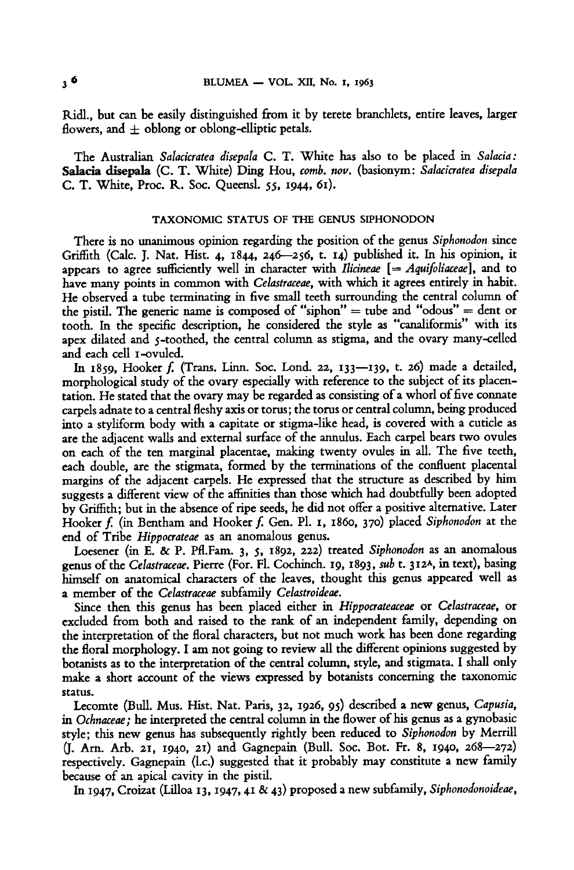Ridl., but can be easily distinguished from it by terete branchlets, entire leaves, larger flowers, and  $\pm$  oblong or oblong-elliptic petals.

The Australian Salacicratea disepala C. T. White has also to be placed in Salacia: Salacia disepala (C. T. White) Ding Hou, comb. nov. (basionym: Salacicratea disepala C. T. White, Proc. R. Soc. Queensl. 55, 1944, 61).

# TAXONOMIC STATUS OF THE GENUS SIPHONODON

There is no unanimous opinion regarding the position of the genus Siphonodon since Griffith (Calc. J. Nat. Hist. 4, 1844, 246—256, t. 14) published it. In his opinion, it appears to agree sufficiently well in character with Ilicineae  $[=$  Aquifoliaceae], and to have many points in common with Celastraceae, with which it agrees entirely in habit. He observed <sup>a</sup> tube terminating in five small teeth surrounding the central column of the pistil. The generic name is composed of "siphon" = tube and "odous" = dent or tooth. In the specific description, he considered the style as "canaliformis" with its apex dilated and 5-toothed, the central column as stigma, and the ovary many-celled and each cell i-ovuled.

In  $1859$ , Hooker f. (Trans. Linn. Soc. Lond. 22,  $133$ — $139$ , t. 26) made a detailed, morphological study of the ovary especially with reference to the subject of its placentation. He stated that the ovary may be regarded as consisting of <sup>a</sup> whorl offive connate carpels adnate to a central fleshy axis or torus; the torus or central column, being produced into <sup>a</sup> styliform body with <sup>a</sup> capitate or stigma-like head, is covered with <sup>a</sup> cuticle as are the adjacent walls and external surface of the annulus. Each carpel bears two ovules on each of the ten marginal placentae, making twenty ovules in all. The five teeth, each double, are the stigmata, formed by the terminations of the confluent placental margins of the adjacent carpels. He expressed that the structure as described by him suggests <sup>a</sup> different view of the affinities than those which had doubtfully been adopted by Griffith; but in the absence ofripe seeds, he did not offer <sup>a</sup> positive alternative. Later Hooker f. (in Bentham and Hooker f. Gen. Pl. 1, 1860, 370) placed Siphonodon at the end of Tribe Hippocrateae as an anomalous genus.

Loesener (in E. & P. Pfl.Fam. 3, 5, 1892, 222) treated Siphonodon as an anomalous genus of the Celastraceae. Pierre (For. Fl. Cochinch. 19, 1893, sub t. 312A, in text), basing himself on anatomical characters of the leaves, thought this genus appeared well as a member of the Celastraceae subfamily Celastroideae.

Since then this genus has been placed either in Hippocrateaceae or Celastraceae, or excluded from both and raised to the rank of an independent family, depending on the interpretation of the floral characters, but not much work has been done regarding the floral morphology. I am not going to review all the different opinions suggested by botanists as to the interpretation of the central column, style, and stigmata. I shall only make <sup>a</sup> short account of the views expressed by botanists concerning the taxonomie status.

Lecomte (Bull. Mus. Hist. Nat. Paris, 32, 1926, 95) described <sup>a</sup> new genus, Capusia, in Ochnaceae; he interpreted the central column in the flower of his genus as a gynobasic style; this new genus has subsequently rightly been reduced to Siphonodon by Merrill (J. Arn. Arb. 21, 1940, 21) and Gagnepain (Bull. Soc. Bot. Fr. 8, 1940, 268—272) respectively. Gagnepain (I.e.) suggested that it probably may constitute <sup>a</sup> new family because of an apical cavity in the pistil.

In 1947, Croizat (Lilloa 13, 1947, <sup>41</sup> & 43) proposed <sup>a</sup> new subfamily, Siphonodonoideae,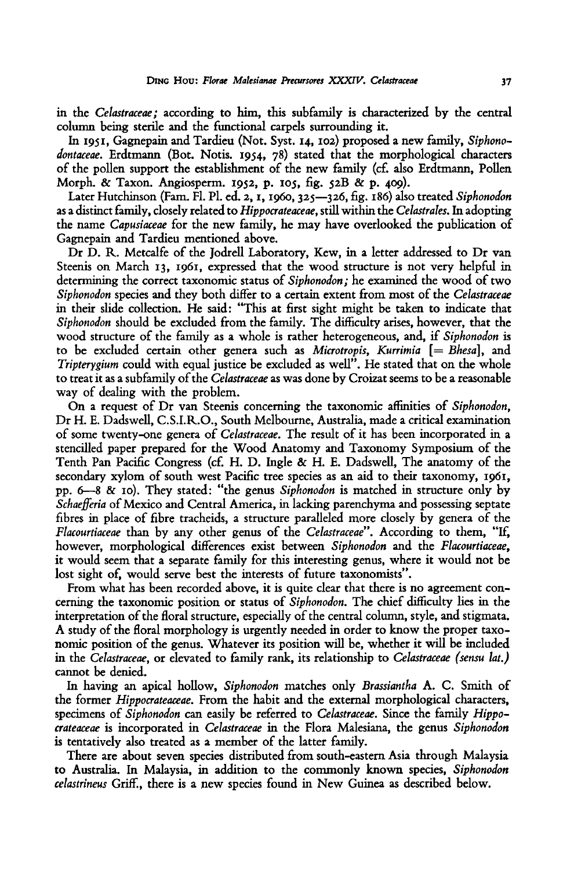in the Celastraceae; according to him, this subfamily is characterized by the central column being sterile and the functional carpels surrounding it.

In 1951, Gagnepain and Tardieu (Not. Syst. 14, 102) proposed <sup>a</sup> new family, Siphonodontaceae. Erdtmann (Bot. Notis. 1954, 78) stated that the morphological characters of the pollen support the establishment of the new family (cf. also Erdtmann, Pollen Morph. & Taxon. Angiosperm. 1952, p. 105, fig. 52B & p. 409).

Later Hutchinson (Fam. Fl. Pl. ed. 2, 1, 1960, 325-326, fig. 186) also treated Siphonodon as a distinct family, closely related to Hippocrateaceae, still within the Celastrales. In adopting the name Capusiaceae for the new family, he may have overlooked the publication of Gagnepain and Tardieu mentioned above.

Dr D. R. Metcalfe of the Jodrell Laboratory, Kew, in <sup>a</sup> letter addressed to Dr van Steenis on March 13, 1961, expressed that the wood structure is not very helpful in determining the correct taxonomic status of Siphonodon; he examined the wood of two Siphonodon species and they both differ to <sup>a</sup> certain extent from most of the Celastraceae in their slide collection. He said: "This at first sight might be taken to indicate that Siphonodon should be excluded from the family. The difficulty arises, however, that the wood structure of the family as <sup>a</sup> whole is rather heterogeneous, and, if Siphonodon is to be excluded certain other genera such as Microtropis, Kurrimia  $[=Bhesa]$ , and Tripterygium could with equal justice be excluded as well". He stated that on the whole to treat it as a subfamily of the Celastraceae as was done by Croizat seems to be a reasonable way of dealing with the problem.

On <sup>a</sup> request of Dr van Steenis concerning the taxonomic affinities of Siphonodon, Dr H. E. Dadswell, C.S.I.R.O., South Melbourne, Australia, made a critical examination of some twenty-one genera of Celastraceae. The result of it has been incorporated in <sup>a</sup> stencilled paper prepared for the Wood Anatomy and Taxonomy Symposium of the Tenth Pan Pacific Congress (cf. H. D. Ingle & H. E. Dadswell, The anatomy of the secondary xylom of south west Pacific tree species as an aid to their taxonomy, 1961, pp. 6—8 & 10). They stated: "the genus Siphonodon is matched in structure only by Schaefferia of Mexico and Central America, in lacking parenchyma and possessing septate fibres in place of fibre tracheids, <sup>a</sup> structure paralleled more closely by genera of the Flacourtiaceae than by any other genus of the Celastraceae". According to them, "If, however, morphological differences exist between Siphonodon and the Flacourtiaceae, it would seem that <sup>a</sup> separate family for this interesting genus, where it would not be lost sight of, would serve best the interests of future taxonomists".

From what has been recorded above, it is quite clear that there is no agreement concerning the taxonomic position or status of Siphonodon. The chief difficulty lies in the interpretation of the floral structure, especially of the central column, style, and stigmata. A study of the floral morphology is urgently neededin order to know the proper taxonomic position of the genus. Whatever its position will be, whether it will be included in the Celastraceae, or elevated to family rank, its relationship to Celastraceae (sensu lat.) cannot be denied.

In having an apical hollow, Siphonodon matches only Brassiantha A. C. Smith of the former Hippocrateaceae. From the habit and the external morphological characters, specimens of Siphonodon can easily be referred to Celastraceae. Since the family Hippocrateaceae is incorporated in Celastraceae in the Flora Malesiana, the genus Siphonodon is tentatively also treated as <sup>a</sup> member of the latter family.

There are about seven species distributed from south-eastern Asia through Malaysia to Australia. In Malaysia, in addition to the commonly known species, Siphonodon celastrineus Griff., there is a new species found in New Guinea as described below.